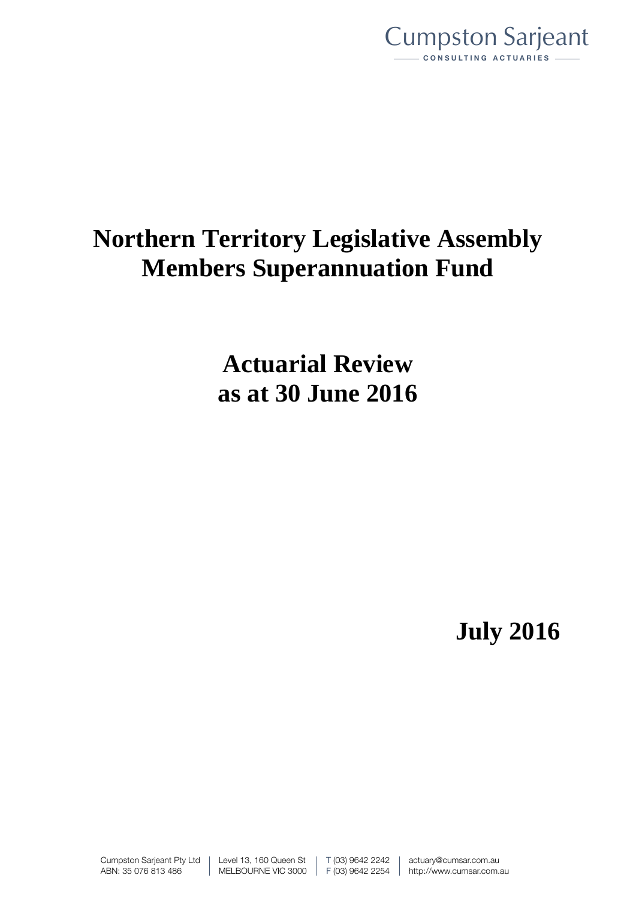

# **Northern Territory Legislative Assembly Members Superannuation Fund**

**Actuarial Review as at 30 June 2016**

**July 2016**

Cumpston Sarjeant Pty Ltd ABN: 35 076 813 486

Level 13, 160 Queen St MELBOURNE VIC 3000 T (03) 9642 2242 F (03) 9642 2254 actuary@cumsar.com.au http://www.cumsar.com.au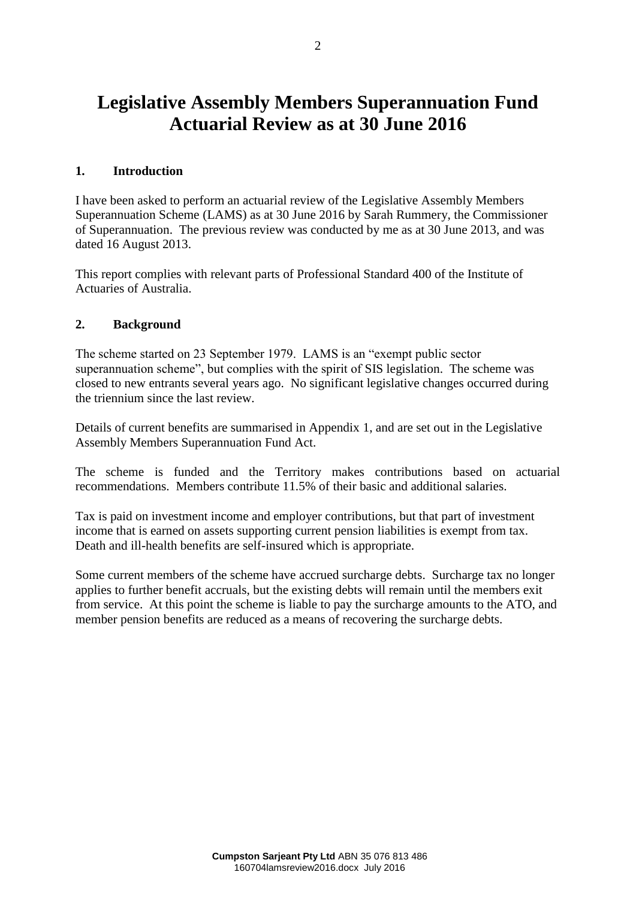## **Legislative Assembly Members Superannuation Fund Actuarial Review as at 30 June 2016**

#### **1. Introduction**

I have been asked to perform an actuarial review of the Legislative Assembly Members Superannuation Scheme (LAMS) as at 30 June 2016 by Sarah Rummery, the Commissioner of Superannuation. The previous review was conducted by me as at 30 June 2013, and was dated 16 August 2013.

This report complies with relevant parts of Professional Standard 400 of the Institute of Actuaries of Australia.

#### **2. Background**

The scheme started on 23 September 1979. LAMS is an "exempt public sector superannuation scheme", but complies with the spirit of SIS legislation. The scheme was closed to new entrants several years ago. No significant legislative changes occurred during the triennium since the last review.

Details of current benefits are summarised in Appendix 1, and are set out in the Legislative Assembly Members Superannuation Fund Act.

The scheme is funded and the Territory makes contributions based on actuarial recommendations. Members contribute 11.5% of their basic and additional salaries.

Tax is paid on investment income and employer contributions, but that part of investment income that is earned on assets supporting current pension liabilities is exempt from tax. Death and ill-health benefits are self-insured which is appropriate.

Some current members of the scheme have accrued surcharge debts. Surcharge tax no longer applies to further benefit accruals, but the existing debts will remain until the members exit from service. At this point the scheme is liable to pay the surcharge amounts to the ATO, and member pension benefits are reduced as a means of recovering the surcharge debts.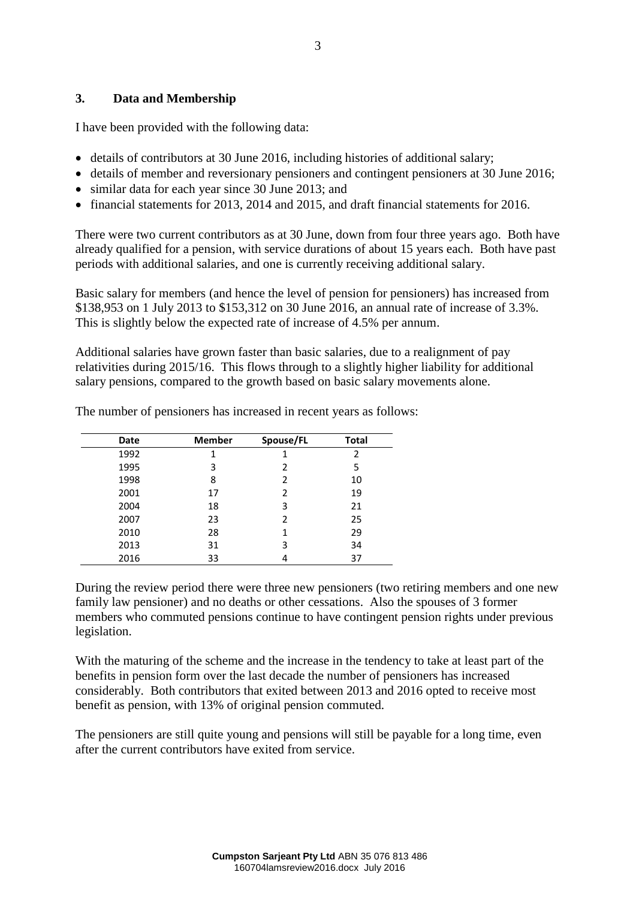#### **3. Data and Membership**

I have been provided with the following data:

- details of contributors at 30 June 2016, including histories of additional salary;
- details of member and reversionary pensioners and contingent pensioners at 30 June 2016;
- similar data for each year since 30 June 2013; and
- financial statements for 2013, 2014 and 2015, and draft financial statements for 2016.

There were two current contributors as at 30 June, down from four three years ago. Both have already qualified for a pension, with service durations of about 15 years each. Both have past periods with additional salaries, and one is currently receiving additional salary.

Basic salary for members (and hence the level of pension for pensioners) has increased from \$138,953 on 1 July 2013 to \$153,312 on 30 June 2016, an annual rate of increase of 3.3%. This is slightly below the expected rate of increase of 4.5% per annum.

Additional salaries have grown faster than basic salaries, due to a realignment of pay relativities during 2015/16. This flows through to a slightly higher liability for additional salary pensions, compared to the growth based on basic salary movements alone.

| Date | <b>Member</b> | Spouse/FL     | <b>Total</b> |
|------|---------------|---------------|--------------|
| 1992 | 1             |               | 2            |
| 1995 | 3             | $\mathfrak z$ | 5            |
| 1998 | 8             | 2             | 10           |
| 2001 | 17            | 2             | 19           |
| 2004 | 18            | 3             | 21           |
| 2007 | 23            | 2             | 25           |
| 2010 | 28            | 1             | 29           |
| 2013 | 31            | 3             | 34           |
| 2016 | 33            |               | 37           |

The number of pensioners has increased in recent years as follows:

During the review period there were three new pensioners (two retiring members and one new family law pensioner) and no deaths or other cessations. Also the spouses of 3 former members who commuted pensions continue to have contingent pension rights under previous legislation.

With the maturing of the scheme and the increase in the tendency to take at least part of the benefits in pension form over the last decade the number of pensioners has increased considerably. Both contributors that exited between 2013 and 2016 opted to receive most benefit as pension, with 13% of original pension commuted.

The pensioners are still quite young and pensions will still be payable for a long time, even after the current contributors have exited from service.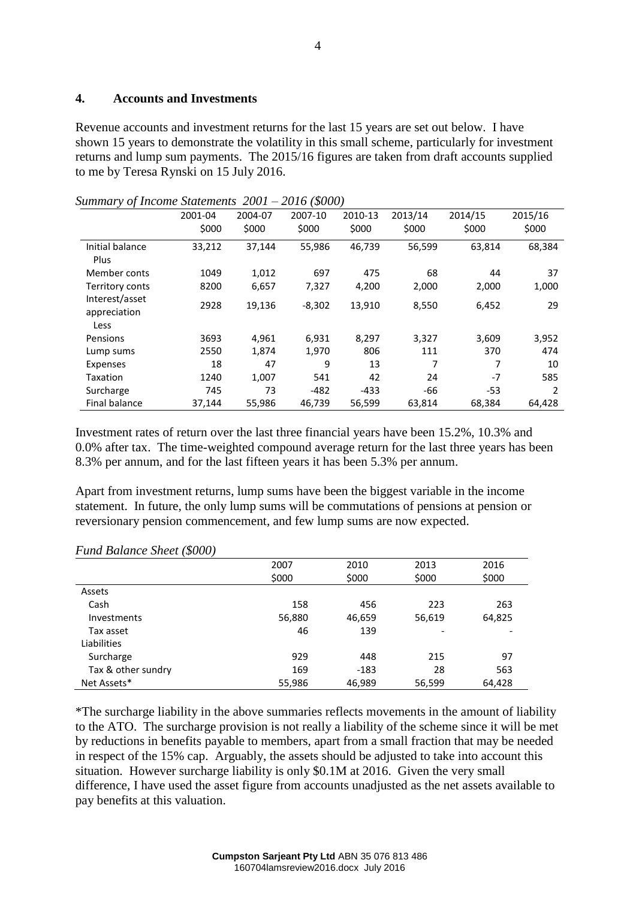#### **4. Accounts and Investments**

Revenue accounts and investment returns for the last 15 years are set out below. I have shown 15 years to demonstrate the volatility in this small scheme, particularly for investment returns and lump sum payments. The 2015/16 figures are taken from draft accounts supplied to me by Teresa Rynski on 15 July 2016.

|                                        | 2001-04<br>\$000 | 2004-07<br>\$000 | 2007-10<br>\$000 | 2010-13<br>\$000 | 2013/14<br>\$000 | 2014/15<br>\$000 | 2015/16<br>\$000 |
|----------------------------------------|------------------|------------------|------------------|------------------|------------------|------------------|------------------|
| Initial balance<br>Plus                | 33,212           | 37,144           | 55,986           | 46,739           | 56,599           | 63,814           | 68,384           |
| Member conts                           | 1049             | 1.012            | 697              | 475              | 68               | 44               | 37               |
| Territory conts                        | 8200             | 6,657            | 7,327            | 4,200            | 2,000            | 2,000            | 1,000            |
| Interest/asset<br>appreciation<br>Less | 2928             | 19,136           | $-8,302$         | 13,910           | 8,550            | 6,452            | 29               |
| Pensions                               | 3693             | 4.961            | 6,931            | 8,297            | 3,327            | 3,609            | 3,952            |
| Lump sums                              | 2550             | 1,874            | 1,970            | 806              | 111              | 370              | 474              |
| Expenses                               | 18               | 47               | 9                | 13               | 7                | 7                | 10               |
| Taxation                               | 1240             | 1,007            | 541              | 42               | 24               | $-7$             | 585              |
| Surcharge                              | 745              | 73               | $-482$           | $-433$           | -66              | $-53$            | 2                |
| <b>Final balance</b>                   | 37,144           | 55,986           | 46,739           | 56,599           | 63,814           | 68,384           | 64,428           |

*Summary of Income Statements 2001 – 2016 (\$000)*

Investment rates of return over the last three financial years have been 15.2%, 10.3% and 0.0% after tax. The time-weighted compound average return for the last three years has been 8.3% per annum, and for the last fifteen years it has been 5.3% per annum.

Apart from investment returns, lump sums have been the biggest variable in the income statement. In future, the only lump sums will be commutations of pensions at pension or reversionary pension commencement, and few lump sums are now expected.

|                    | 2007   | 2010   | 2013                     | 2016   |
|--------------------|--------|--------|--------------------------|--------|
|                    | \$000  | \$000  | \$000                    | \$000  |
| Assets             |        |        |                          |        |
| Cash               | 158    | 456    | 223                      | 263    |
| Investments        | 56,880 | 46,659 | 56,619                   | 64,825 |
| Tax asset          | 46     | 139    | $\overline{\phantom{a}}$ |        |
| Liabilities        |        |        |                          |        |
| Surcharge          | 929    | 448    | 215                      | 97     |
| Tax & other sundry | 169    | $-183$ | 28                       | 563    |
| Net Assets*        | 55,986 | 46,989 | 56,599                   | 64,428 |

*Fund Balance Sheet (\$000)*

\*The surcharge liability in the above summaries reflects movements in the amount of liability to the ATO. The surcharge provision is not really a liability of the scheme since it will be met by reductions in benefits payable to members, apart from a small fraction that may be needed in respect of the 15% cap. Arguably, the assets should be adjusted to take into account this situation. However surcharge liability is only \$0.1M at 2016. Given the very small difference, I have used the asset figure from accounts unadjusted as the net assets available to pay benefits at this valuation.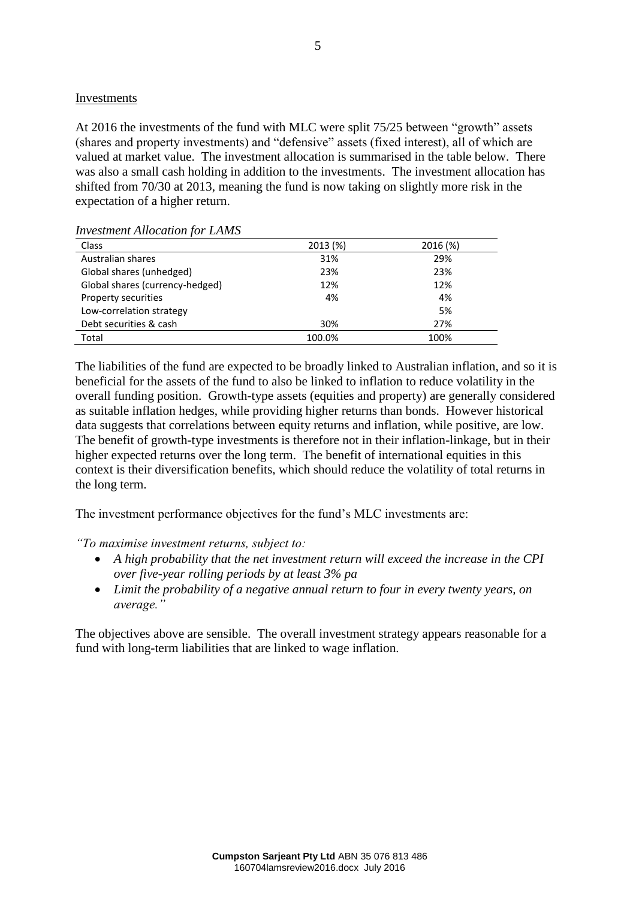#### Investments

At 2016 the investments of the fund with MLC were split 75/25 between "growth" assets (shares and property investments) and "defensive" assets (fixed interest), all of which are valued at market value. The investment allocation is summarised in the table below. There was also a small cash holding in addition to the investments. The investment allocation has shifted from 70/30 at 2013, meaning the fund is now taking on slightly more risk in the expectation of a higher return.

| <i><u><b>INVESTINGIN TRACCURRON JOT</b></u> LA LIMO</i> |         |          |
|---------------------------------------------------------|---------|----------|
| Class                                                   | 2013(%) | 2016 (%) |
| Australian shares                                       | 31%     | 29%      |
| Global shares (unhedged)                                | 23%     | 23%      |
| Global shares (currency-hedged)                         | 12%     | 12%      |
| Property securities                                     | 4%      | 4%       |
| Low-correlation strategy                                |         | 5%       |
| Debt securities & cash                                  | 30%     | 27%      |
| Total                                                   | 100.0%  | 100%     |

*Investment Allocation for LAMS* 

The liabilities of the fund are expected to be broadly linked to Australian inflation, and so it is beneficial for the assets of the fund to also be linked to inflation to reduce volatility in the overall funding position. Growth-type assets (equities and property) are generally considered as suitable inflation hedges, while providing higher returns than bonds. However historical data suggests that correlations between equity returns and inflation, while positive, are low. The benefit of growth-type investments is therefore not in their inflation-linkage, but in their higher expected returns over the long term. The benefit of international equities in this context is their diversification benefits, which should reduce the volatility of total returns in the long term.

The investment performance objectives for the fund's MLC investments are:

*"To maximise investment returns, subject to:*

- *A high probability that the net investment return will exceed the increase in the CPI over five-year rolling periods by at least 3% pa*
- *Limit the probability of a negative annual return to four in every twenty years, on average."*

The objectives above are sensible. The overall investment strategy appears reasonable for a fund with long-term liabilities that are linked to wage inflation.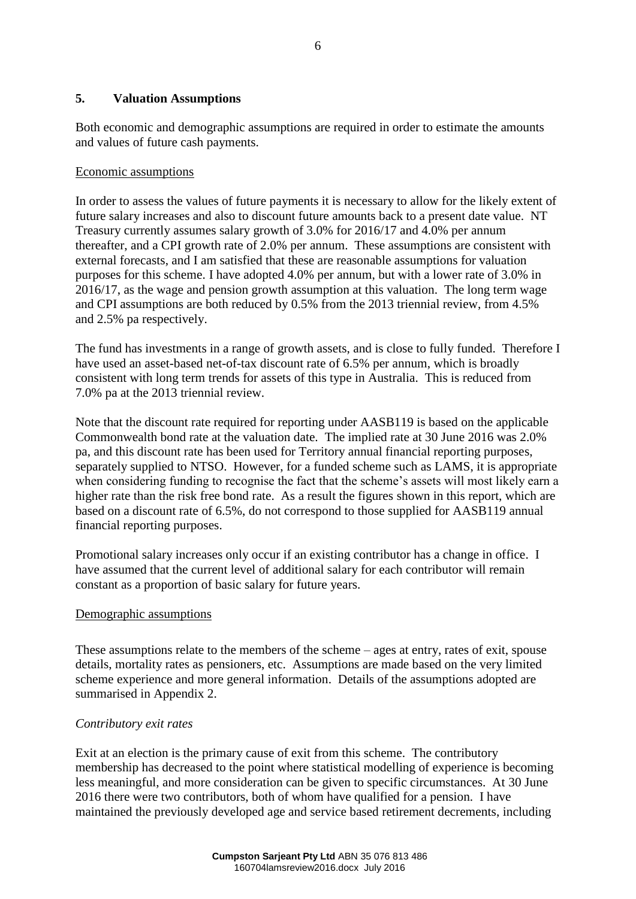#### **5. Valuation Assumptions**

Both economic and demographic assumptions are required in order to estimate the amounts and values of future cash payments.

#### Economic assumptions

In order to assess the values of future payments it is necessary to allow for the likely extent of future salary increases and also to discount future amounts back to a present date value. NT Treasury currently assumes salary growth of 3.0% for 2016/17 and 4.0% per annum thereafter, and a CPI growth rate of 2.0% per annum. These assumptions are consistent with external forecasts, and I am satisfied that these are reasonable assumptions for valuation purposes for this scheme. I have adopted 4.0% per annum, but with a lower rate of 3.0% in 2016/17, as the wage and pension growth assumption at this valuation. The long term wage and CPI assumptions are both reduced by 0.5% from the 2013 triennial review, from 4.5% and 2.5% pa respectively.

The fund has investments in a range of growth assets, and is close to fully funded. Therefore I have used an asset-based net-of-tax discount rate of 6.5% per annum, which is broadly consistent with long term trends for assets of this type in Australia. This is reduced from 7.0% pa at the 2013 triennial review.

Note that the discount rate required for reporting under AASB119 is based on the applicable Commonwealth bond rate at the valuation date. The implied rate at 30 June 2016 was 2.0% pa, and this discount rate has been used for Territory annual financial reporting purposes, separately supplied to NTSO. However, for a funded scheme such as LAMS, it is appropriate when considering funding to recognise the fact that the scheme's assets will most likely earn a higher rate than the risk free bond rate. As a result the figures shown in this report, which are based on a discount rate of 6.5%, do not correspond to those supplied for AASB119 annual financial reporting purposes.

Promotional salary increases only occur if an existing contributor has a change in office. I have assumed that the current level of additional salary for each contributor will remain constant as a proportion of basic salary for future years.

#### Demographic assumptions

These assumptions relate to the members of the scheme – ages at entry, rates of exit, spouse details, mortality rates as pensioners, etc. Assumptions are made based on the very limited scheme experience and more general information. Details of the assumptions adopted are summarised in Appendix 2.

#### *Contributory exit rates*

Exit at an election is the primary cause of exit from this scheme. The contributory membership has decreased to the point where statistical modelling of experience is becoming less meaningful, and more consideration can be given to specific circumstances. At 30 June 2016 there were two contributors, both of whom have qualified for a pension. I have maintained the previously developed age and service based retirement decrements, including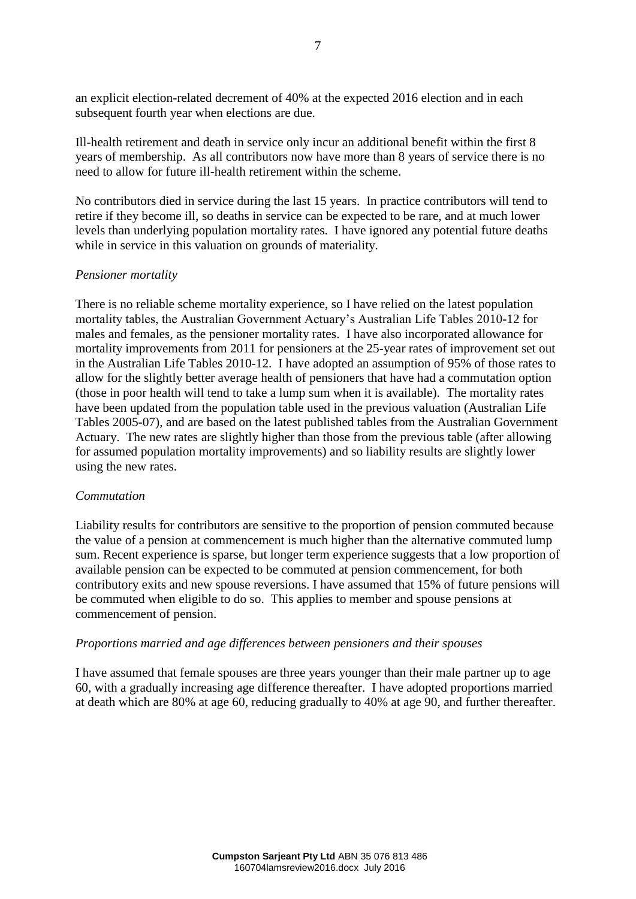an explicit election-related decrement of 40% at the expected 2016 election and in each subsequent fourth year when elections are due.

Ill-health retirement and death in service only incur an additional benefit within the first 8 years of membership. As all contributors now have more than 8 years of service there is no need to allow for future ill-health retirement within the scheme.

No contributors died in service during the last 15 years. In practice contributors will tend to retire if they become ill, so deaths in service can be expected to be rare, and at much lower levels than underlying population mortality rates. I have ignored any potential future deaths while in service in this valuation on grounds of materiality.

#### *Pensioner mortality*

There is no reliable scheme mortality experience, so I have relied on the latest population mortality tables, the Australian Government Actuary's Australian Life Tables 2010-12 for males and females, as the pensioner mortality rates. I have also incorporated allowance for mortality improvements from 2011 for pensioners at the 25-year rates of improvement set out in the Australian Life Tables 2010-12. I have adopted an assumption of 95% of those rates to allow for the slightly better average health of pensioners that have had a commutation option (those in poor health will tend to take a lump sum when it is available). The mortality rates have been updated from the population table used in the previous valuation (Australian Life Tables 2005-07), and are based on the latest published tables from the Australian Government Actuary. The new rates are slightly higher than those from the previous table (after allowing for assumed population mortality improvements) and so liability results are slightly lower using the new rates.

#### *Commutation*

Liability results for contributors are sensitive to the proportion of pension commuted because the value of a pension at commencement is much higher than the alternative commuted lump sum. Recent experience is sparse, but longer term experience suggests that a low proportion of available pension can be expected to be commuted at pension commencement, for both contributory exits and new spouse reversions. I have assumed that 15% of future pensions will be commuted when eligible to do so. This applies to member and spouse pensions at commencement of pension.

#### *Proportions married and age differences between pensioners and their spouses*

I have assumed that female spouses are three years younger than their male partner up to age 60, with a gradually increasing age difference thereafter. I have adopted proportions married at death which are 80% at age 60, reducing gradually to 40% at age 90, and further thereafter.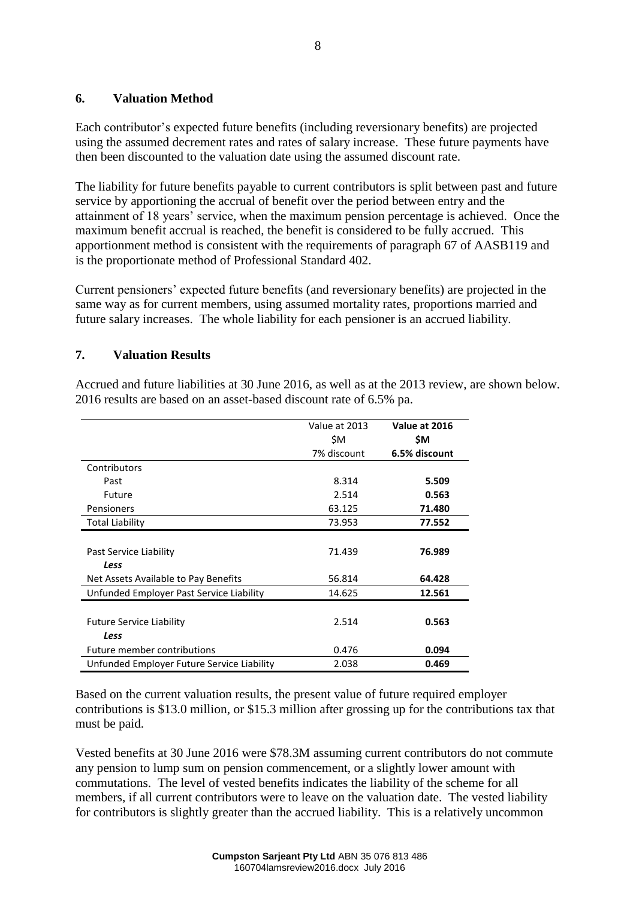#### **6. Valuation Method**

Each contributor's expected future benefits (including reversionary benefits) are projected using the assumed decrement rates and rates of salary increase. These future payments have then been discounted to the valuation date using the assumed discount rate.

The liability for future benefits payable to current contributors is split between past and future service by apportioning the accrual of benefit over the period between entry and the attainment of 18 years' service, when the maximum pension percentage is achieved. Once the maximum benefit accrual is reached, the benefit is considered to be fully accrued. This apportionment method is consistent with the requirements of paragraph 67 of AASB119 and is the proportionate method of Professional Standard 402.

Current pensioners' expected future benefits (and reversionary benefits) are projected in the same way as for current members, using assumed mortality rates, proportions married and future salary increases. The whole liability for each pensioner is an accrued liability.

### **7. Valuation Results**

Accrued and future liabilities at 30 June 2016, as well as at the 2013 review, are shown below. 2016 results are based on an asset-based discount rate of 6.5% pa.

|                                            | Value at 2013<br>\$M | Value at 2016<br>\$M |
|--------------------------------------------|----------------------|----------------------|
|                                            | 7% discount          | 6.5% discount        |
| Contributors                               |                      |                      |
| Past                                       | 8.314                | 5.509                |
| Future                                     | 2.514                | 0.563                |
| Pensioners                                 | 63.125               | 71.480               |
| Total Liability                            | 73.953               | 77.552               |
| Past Service Liability<br>Less             | 71.439               | 76.989               |
| Net Assets Available to Pay Benefits       | 56.814               | 64.428               |
| Unfunded Employer Past Service Liability   | 14.625               | 12.561               |
| <b>Future Service Liability</b><br>Less    | 2.514                | 0.563                |
| Future member contributions                | 0.476                | 0.094                |
| Unfunded Employer Future Service Liability | 2.038                | 0.469                |

Based on the current valuation results, the present value of future required employer contributions is \$13.0 million, or \$15.3 million after grossing up for the contributions tax that must be paid.

Vested benefits at 30 June 2016 were \$78.3M assuming current contributors do not commute any pension to lump sum on pension commencement, or a slightly lower amount with commutations. The level of vested benefits indicates the liability of the scheme for all members, if all current contributors were to leave on the valuation date. The vested liability for contributors is slightly greater than the accrued liability. This is a relatively uncommon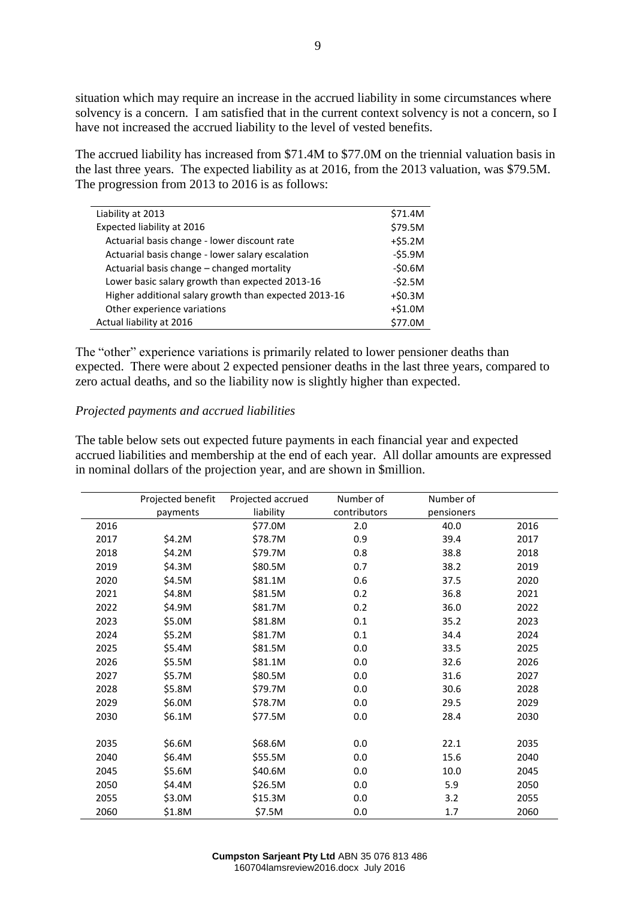situation which may require an increase in the accrued liability in some circumstances where solvency is a concern. I am satisfied that in the current context solvency is not a concern, so I have not increased the accrued liability to the level of vested benefits.

The accrued liability has increased from \$71.4M to \$77.0M on the triennial valuation basis in the last three years. The expected liability as at 2016, from the 2013 valuation, was \$79.5M. The progression from 2013 to 2016 is as follows:

| Liability at 2013                                     | \$71.4M   |
|-------------------------------------------------------|-----------|
| Expected liability at 2016                            | \$79.5M   |
| Actuarial basis change - lower discount rate          | $+ $5.2M$ |
| Actuarial basis change - lower salary escalation      | $-55.9M$  |
| Actuarial basis change - changed mortality            | $-50.6M$  |
| Lower basic salary growth than expected 2013-16       | $-52.5M$  |
| Higher additional salary growth than expected 2013-16 | $+ $0.3M$ |
| Other experience variations                           | $+ $1.0M$ |
| Actual liability at 2016                              | \$77.0M   |

The "other" experience variations is primarily related to lower pensioner deaths than expected. There were about 2 expected pensioner deaths in the last three years, compared to zero actual deaths, and so the liability now is slightly higher than expected.

#### *Projected payments and accrued liabilities*

The table below sets out expected future payments in each financial year and expected accrued liabilities and membership at the end of each year. All dollar amounts are expressed in nominal dollars of the projection year, and are shown in \$million.

|      | Projected benefit | Projected accrued | Number of    | Number of  |      |
|------|-------------------|-------------------|--------------|------------|------|
|      | payments          | liability         | contributors | pensioners |      |
| 2016 |                   | \$77.0M           | 2.0          | 40.0       | 2016 |
| 2017 | \$4.2M            | \$78.7M           | 0.9          | 39.4       | 2017 |
| 2018 | \$4.2M            | \$79.7M           | 0.8          | 38.8       | 2018 |
| 2019 | \$4.3M            | \$80.5M           | 0.7          | 38.2       | 2019 |
| 2020 | \$4.5M            | \$81.1M           | 0.6          | 37.5       | 2020 |
| 2021 | \$4.8M            | \$81.5M           | 0.2          | 36.8       | 2021 |
| 2022 | \$4.9M            | \$81.7M           | 0.2          | 36.0       | 2022 |
| 2023 | \$5.0M            | \$81.8M           | 0.1          | 35.2       | 2023 |
| 2024 | \$5.2M            | \$81.7M           | 0.1          | 34.4       | 2024 |
| 2025 | \$5.4M            | \$81.5M           | 0.0          | 33.5       | 2025 |
| 2026 | \$5.5M            | \$81.1M           | 0.0          | 32.6       | 2026 |
| 2027 | \$5.7M            | \$80.5M           | 0.0          | 31.6       | 2027 |
| 2028 | \$5.8M            | \$79.7M           | 0.0          | 30.6       | 2028 |
| 2029 | \$6.0M            | \$78.7M           | 0.0          | 29.5       | 2029 |
| 2030 | \$6.1M            | \$77.5M           | 0.0          | 28.4       | 2030 |
|      |                   |                   |              |            |      |
| 2035 | \$6.6M            | \$68.6M           | 0.0          | 22.1       | 2035 |
| 2040 | \$6.4M            | \$55.5M           | 0.0          | 15.6       | 2040 |
| 2045 | \$5.6M            | \$40.6M           | 0.0          | 10.0       | 2045 |
| 2050 | \$4.4M            | \$26.5M           | 0.0          | 5.9        | 2050 |
| 2055 | \$3.0M            | \$15.3M           | 0.0          | 3.2        | 2055 |
| 2060 | \$1.8M            | \$7.5M            | 0.0          | 1.7        | 2060 |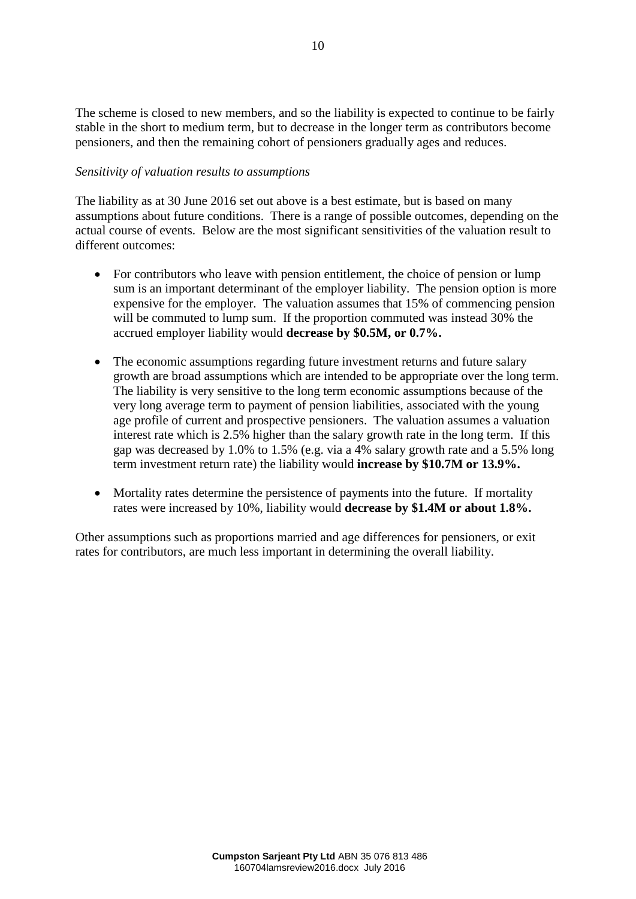The scheme is closed to new members, and so the liability is expected to continue to be fairly stable in the short to medium term, but to decrease in the longer term as contributors become pensioners, and then the remaining cohort of pensioners gradually ages and reduces.

#### *Sensitivity of valuation results to assumptions*

The liability as at 30 June 2016 set out above is a best estimate, but is based on many assumptions about future conditions. There is a range of possible outcomes, depending on the actual course of events. Below are the most significant sensitivities of the valuation result to different outcomes:

- For contributors who leave with pension entitlement, the choice of pension or lump sum is an important determinant of the employer liability. The pension option is more expensive for the employer. The valuation assumes that 15% of commencing pension will be commuted to lump sum. If the proportion commuted was instead 30% the accrued employer liability would **decrease by \$0.5M, or 0.7%.**
- The economic assumptions regarding future investment returns and future salary growth are broad assumptions which are intended to be appropriate over the long term. The liability is very sensitive to the long term economic assumptions because of the very long average term to payment of pension liabilities, associated with the young age profile of current and prospective pensioners. The valuation assumes a valuation interest rate which is 2.5% higher than the salary growth rate in the long term. If this gap was decreased by 1.0% to 1.5% (e.g. via a 4% salary growth rate and a 5.5% long term investment return rate) the liability would **increase by \$10.7M or 13.9%.**
- Mortality rates determine the persistence of payments into the future. If mortality rates were increased by 10%, liability would **decrease by \$1.4M or about 1.8%.**

Other assumptions such as proportions married and age differences for pensioners, or exit rates for contributors, are much less important in determining the overall liability.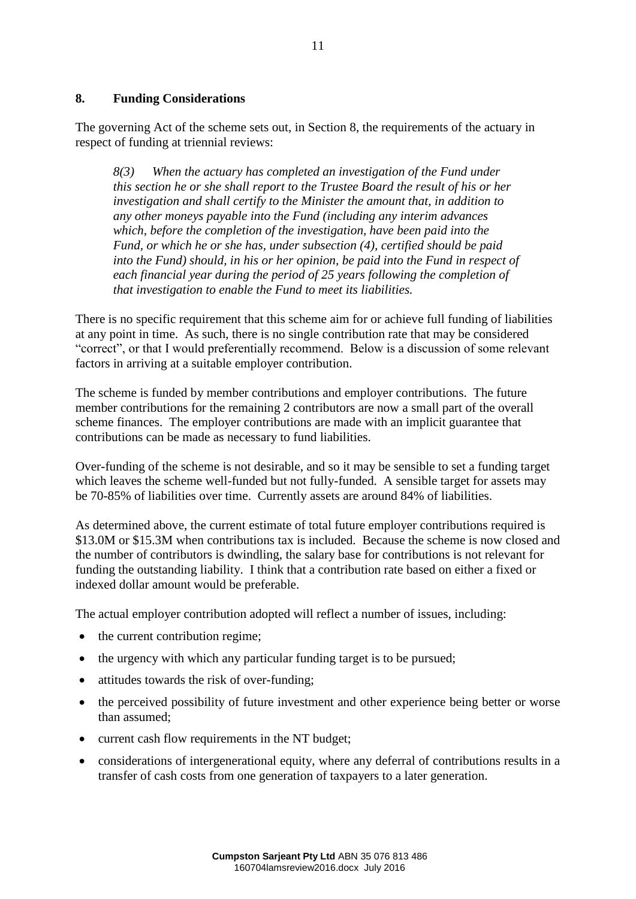#### **8. Funding Considerations**

The governing Act of the scheme sets out, in Section 8, the requirements of the actuary in respect of funding at triennial reviews:

*8(3) When the actuary has completed an investigation of the Fund under this section he or she shall report to the Trustee Board the result of his or her investigation and shall certify to the Minister the amount that, in addition to any other moneys payable into the Fund (including any interim advances which, before the completion of the investigation, have been paid into the Fund, or which he or she has, under subsection (4), certified should be paid into the Fund) should, in his or her opinion, be paid into the Fund in respect of each financial year during the period of 25 years following the completion of that investigation to enable the Fund to meet its liabilities.*

There is no specific requirement that this scheme aim for or achieve full funding of liabilities at any point in time. As such, there is no single contribution rate that may be considered "correct", or that I would preferentially recommend. Below is a discussion of some relevant factors in arriving at a suitable employer contribution.

The scheme is funded by member contributions and employer contributions. The future member contributions for the remaining 2 contributors are now a small part of the overall scheme finances. The employer contributions are made with an implicit guarantee that contributions can be made as necessary to fund liabilities.

Over-funding of the scheme is not desirable, and so it may be sensible to set a funding target which leaves the scheme well-funded but not fully-funded. A sensible target for assets may be 70-85% of liabilities over time. Currently assets are around 84% of liabilities.

As determined above, the current estimate of total future employer contributions required is \$13.0M or \$15.3M when contributions tax is included. Because the scheme is now closed and the number of contributors is dwindling, the salary base for contributions is not relevant for funding the outstanding liability. I think that a contribution rate based on either a fixed or indexed dollar amount would be preferable.

The actual employer contribution adopted will reflect a number of issues, including:

- the current contribution regime;
- the urgency with which any particular funding target is to be pursued;
- attitudes towards the risk of over-funding;
- the perceived possibility of future investment and other experience being better or worse than assumed;
- current cash flow requirements in the NT budget;
- considerations of intergenerational equity, where any deferral of contributions results in a transfer of cash costs from one generation of taxpayers to a later generation.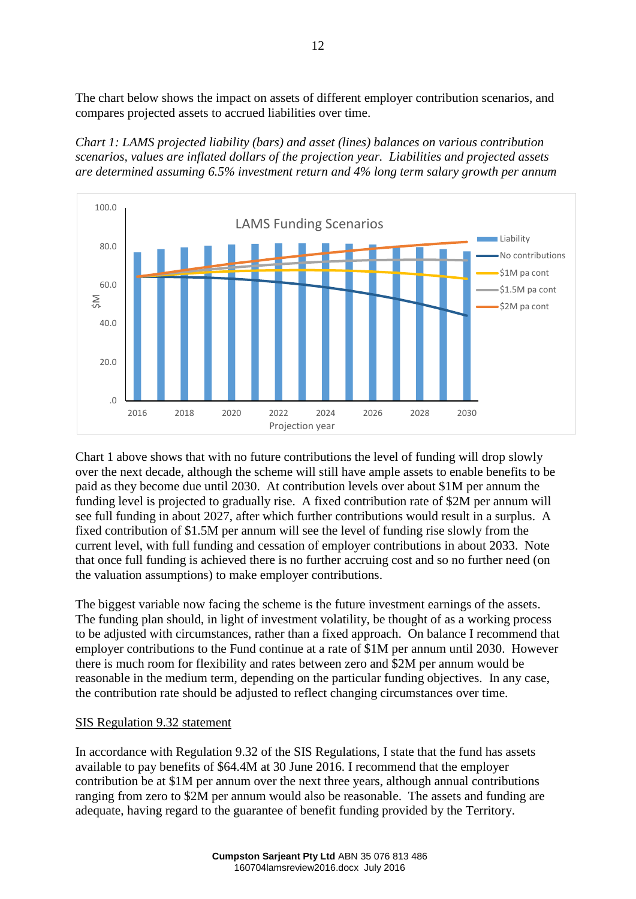The chart below shows the impact on assets of different employer contribution scenarios, and compares projected assets to accrued liabilities over time.





Chart 1 above shows that with no future contributions the level of funding will drop slowly over the next decade, although the scheme will still have ample assets to enable benefits to be paid as they become due until 2030. At contribution levels over about \$1M per annum the funding level is projected to gradually rise. A fixed contribution rate of \$2M per annum will see full funding in about 2027, after which further contributions would result in a surplus. A fixed contribution of \$1.5M per annum will see the level of funding rise slowly from the current level, with full funding and cessation of employer contributions in about 2033. Note that once full funding is achieved there is no further accruing cost and so no further need (on the valuation assumptions) to make employer contributions.

The biggest variable now facing the scheme is the future investment earnings of the assets. The funding plan should, in light of investment volatility, be thought of as a working process to be adjusted with circumstances, rather than a fixed approach. On balance I recommend that employer contributions to the Fund continue at a rate of \$1M per annum until 2030. However there is much room for flexibility and rates between zero and \$2M per annum would be reasonable in the medium term, depending on the particular funding objectives. In any case, the contribution rate should be adjusted to reflect changing circumstances over time.

#### SIS Regulation 9.32 statement

In accordance with Regulation 9.32 of the SIS Regulations, I state that the fund has assets available to pay benefits of \$64.4M at 30 June 2016. I recommend that the employer contribution be at \$1M per annum over the next three years, although annual contributions ranging from zero to \$2M per annum would also be reasonable. The assets and funding are adequate, having regard to the guarantee of benefit funding provided by the Territory.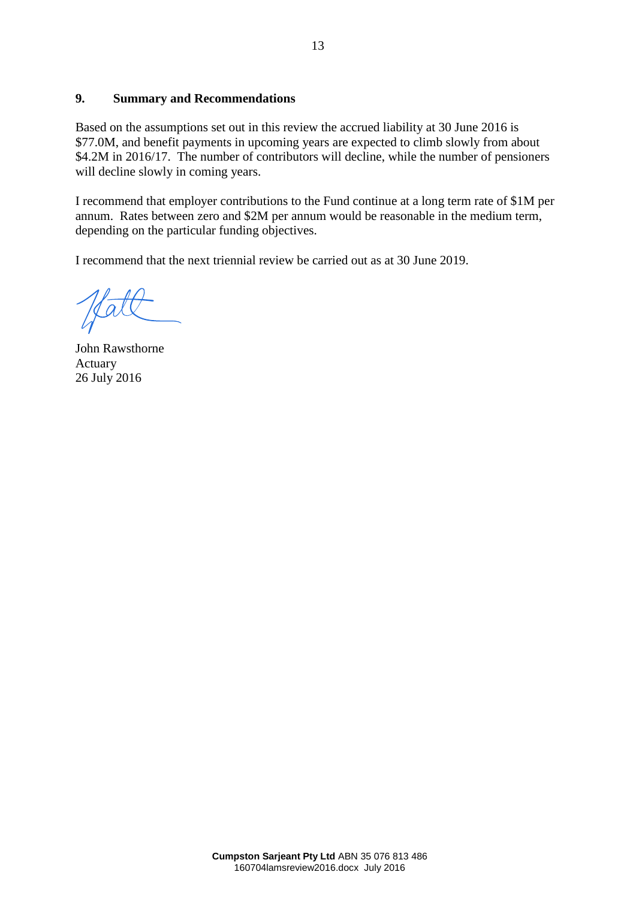#### **9. Summary and Recommendations**

Based on the assumptions set out in this review the accrued liability at 30 June 2016 is \$77.0M, and benefit payments in upcoming years are expected to climb slowly from about \$4.2M in 2016/17. The number of contributors will decline, while the number of pensioners will decline slowly in coming years.

I recommend that employer contributions to the Fund continue at a long term rate of \$1M per annum. Rates between zero and \$2M per annum would be reasonable in the medium term, depending on the particular funding objectives.

I recommend that the next triennial review be carried out as at 30 June 2019.

John Rawsthorne Actuary 26 July 2016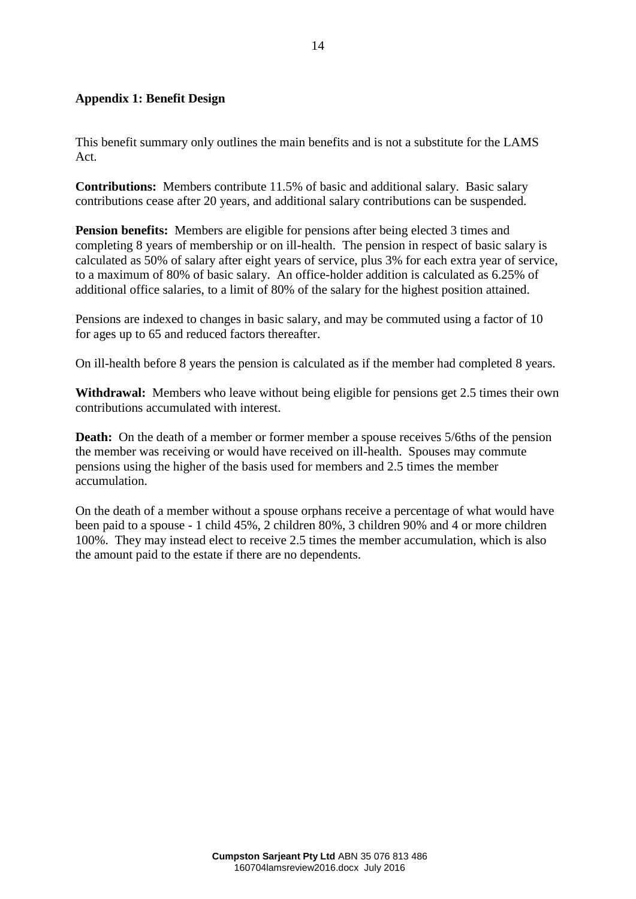#### **Appendix 1: Benefit Design**

This benefit summary only outlines the main benefits and is not a substitute for the LAMS Act.

**Contributions:** Members contribute 11.5% of basic and additional salary. Basic salary contributions cease after 20 years, and additional salary contributions can be suspended.

**Pension benefits:** Members are eligible for pensions after being elected 3 times and completing 8 years of membership or on ill-health. The pension in respect of basic salary is calculated as 50% of salary after eight years of service, plus 3% for each extra year of service, to a maximum of 80% of basic salary. An office-holder addition is calculated as 6.25% of additional office salaries, to a limit of 80% of the salary for the highest position attained.

Pensions are indexed to changes in basic salary, and may be commuted using a factor of 10 for ages up to 65 and reduced factors thereafter.

On ill-health before 8 years the pension is calculated as if the member had completed 8 years.

**Withdrawal:** Members who leave without being eligible for pensions get 2.5 times their own contributions accumulated with interest.

**Death:** On the death of a member or former member a spouse receives 5/6ths of the pension the member was receiving or would have received on ill-health. Spouses may commute pensions using the higher of the basis used for members and 2.5 times the member accumulation.

On the death of a member without a spouse orphans receive a percentage of what would have been paid to a spouse - 1 child 45%, 2 children 80%, 3 children 90% and 4 or more children 100%. They may instead elect to receive 2.5 times the member accumulation, which is also the amount paid to the estate if there are no dependents.